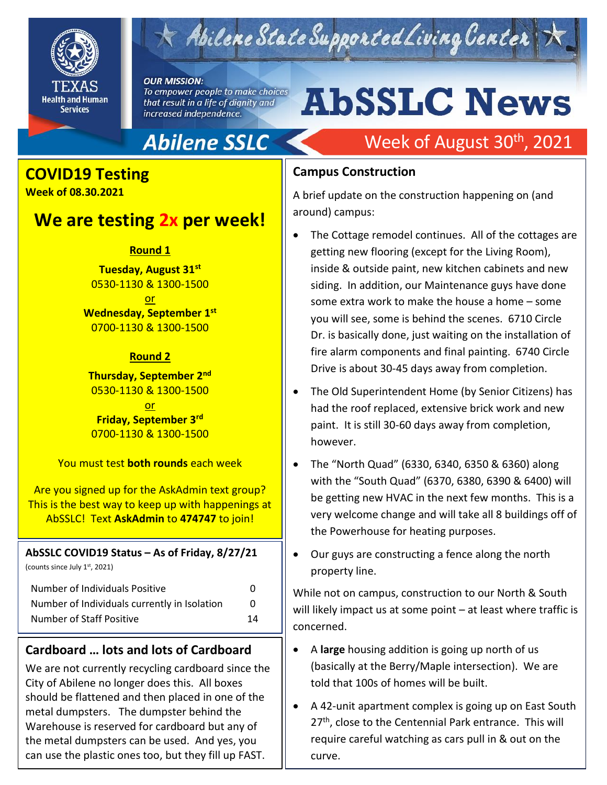

# Abilene State Supported Living Center

#### **OUR MISSION:**

To empower people to make choices that result in a life of dignity and increased independence.

# **AbSSLC News**

# **Abilene SSLC**

# **COVID19 Testing**

**Week of 08.30.2021** 

# **We are testing 2x per week!**

#### **Round 1**

**Tuesday, August 31st** 0530-1130 & 1300-1500

or **Wednesday, September 1st** 0700-1130 & 1300-1500

#### **Round 2**

**Thursday, September 2nd** 0530-1130 & 1300-1500

or **Friday, September 3rd** 0700-1130 & 1300-1500

You must test **both rounds** each week

Are you signed up for the AskAdmin text group? This is the best way to keep up with happenings at AbSSLC! Text **AskAdmin** to **474747** to join!

# **AbSSLC COVID19 Status – As of Friday, 8/27/21**

(counts since July 1st, 2021)

| Number of Individuals Positive               | O  |
|----------------------------------------------|----|
| Number of Individuals currently in Isolation | 0  |
| Number of Staff Positive                     | 14 |

## **Cardboard … lots and lots of Cardboard**

We are not currently recycling cardboard since the City of Abilene no longer does this. All boxes should be flattened and then placed in one of the metal dumpsters. The dumpster behind the Warehouse is reserved for cardboard but any of the metal dumpsters can be used. And yes, you can use the plastic ones too, but they fill up FAST.

# Week of August 30<sup>th</sup>, 2021

### **Campus Construction**

A brief update on the construction happening on (and around) campus:

- The Cottage remodel continues. All of the cottages are getting new flooring (except for the Living Room), inside & outside paint, new kitchen cabinets and new siding. In addition, our Maintenance guys have done some extra work to make the house a home – some you will see, some is behind the scenes. 6710 Circle Dr. is basically done, just waiting on the installation of fire alarm components and final painting. 6740 Circle Drive is about 30-45 days away from completion.
- The Old Superintendent Home (by Senior Citizens) has had the roof replaced, extensive brick work and new paint. It is still 30-60 days away from completion, however.
- The "North Quad" (6330, 6340, 6350 & 6360) along with the "South Quad" (6370, 6380, 6390 & 6400) will be getting new HVAC in the next few months. This is a very welcome change and will take all 8 buildings off of the Powerhouse for heating purposes.
- Our guys are constructing a fence along the north property line.

While not on campus, construction to our North & South will likely impact us at some point – at least where traffic is concerned.

- A **large** housing addition is going up north of us (basically at the Berry/Maple intersection). We are told that 100s of homes will be built.
- A 42-unit apartment complex is going up on East South 27<sup>th</sup>, close to the Centennial Park entrance. This will require careful watching as cars pull in & out on the curve.